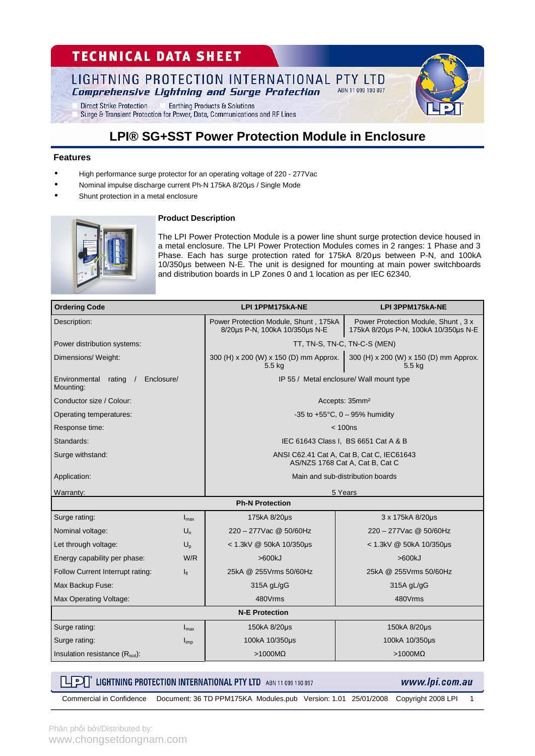# **TECHNICAL DATA SHEET**

#### LIGHTNING PROTECTION INTERNATIONAL PTY LTD ABN 11 099 190 897 **Comprehensive Lightning and Surge Protection**

**Direct Strike Protection Earthing Products & Solutions** Surge & Transient Protection for Power, Data, Communications and RF Lines

### **LPI® SG+SST Power Protection Module in Enclosure**

#### **Features**

• High performance surge protector for an operating voltage of 220 - 277Vac

**Product Description** 

- Nominal impulse discharge current Ph-N 175kA 8/20µs / Single Mode
- Shunt protection in a metal enclosure



The LPI Power Protection Module is a power line shunt surge protection device housed in a metal enclosure. The LPI Power Protection Modules comes in 2 ranges: 1 Phase and 3 Phase. Each has surge protection rated for 175kA 8/20μs between P-N, and 100kA 10/350μs between N-E. The unit is designed for mounting at main power switchboards and distribution boards in LP Zones 0 and 1 location as per IEC 62340.

| <b>Ordering Code</b>                               |                  | LPI 1PPM175kA-NE                                                             | LPI 3PPM175kA-NE                                                            |  |  |  |  |
|----------------------------------------------------|------------------|------------------------------------------------------------------------------|-----------------------------------------------------------------------------|--|--|--|--|
| Description:                                       |                  | Power Protection Module, Shunt, 175kA<br>8/20us P-N, 100kA 10/350us N-E      | Power Protection Module, Shunt, 3 x<br>175kA 8/20us P-N, 100kA 10/350us N-E |  |  |  |  |
| Power distribution systems:                        |                  | TT, TN-S, TN-C, TN-C-S (MEN)                                                 |                                                                             |  |  |  |  |
| Dimensions/ Weight:                                |                  | 300 (H) x 200 (W) x 150 (D) mm Approx.<br>5.5 kg                             | 300 (H) x 200 (W) x 150 (D) mm Approx.<br>5.5 kg                            |  |  |  |  |
| Environmental<br>rating<br>Enclosure/<br>Mounting: |                  | IP 55 / Metal enclosure/ Wall mount type                                     |                                                                             |  |  |  |  |
| Conductor size / Colour:                           |                  | Accepts: 35mm <sup>2</sup>                                                   |                                                                             |  |  |  |  |
| Operating temperatures:                            |                  | -35 to +55 $^{\circ}$ C, 0 - 95% humidity                                    |                                                                             |  |  |  |  |
| Response time:                                     |                  | < 100ns                                                                      |                                                                             |  |  |  |  |
| Standards:                                         |                  | IEC 61643 Class I, BS 6651 Cat A & B                                         |                                                                             |  |  |  |  |
| Surge withstand:                                   |                  | ANSI C62.41 Cat A, Cat B, Cat C, IEC61643<br>AS/NZS 1768 Cat A, Cat B, Cat C |                                                                             |  |  |  |  |
| Application:                                       |                  | Main and sub-distribution boards                                             |                                                                             |  |  |  |  |
| Warranty:                                          |                  | 5 Years                                                                      |                                                                             |  |  |  |  |
|                                                    |                  | <b>Ph-N Protection</b>                                                       |                                                                             |  |  |  |  |
| Surge rating:                                      | $I_{\text{max}}$ | 175kA 8/20µs                                                                 | 3 x 175kA 8/20µs                                                            |  |  |  |  |
| Nominal voltage:                                   | $U_n$            | 220 - 277 Vac @ 50/60 Hz                                                     | 220 - 277 Vac @ 50/60 Hz                                                    |  |  |  |  |
| Let through voltage:                               | $U_{p}$          | $<$ 1.3kV @ 50kA 10/350µs                                                    | < 1.3kV @ 50kA 10/350us                                                     |  |  |  |  |
| Energy capability per phase:                       | W/R              | >600kJ                                                                       | >600kJ                                                                      |  |  |  |  |
| Follow Current Interrupt rating:                   | $I_{fl}$         | 25kA @ 255Vrms 50/60Hz                                                       | 25kA @ 255Vrms 50/60Hz                                                      |  |  |  |  |
| Max Backup Fuse:                                   |                  | 315A gL/gG                                                                   | 315A gL/gG                                                                  |  |  |  |  |
| Max Operating Voltage:                             |                  | 480Vrms                                                                      | 480Vrms                                                                     |  |  |  |  |
| <b>N-E Protection</b>                              |                  |                                                                              |                                                                             |  |  |  |  |
| Surge rating:                                      | $I_{\text{max}}$ | 150kA 8/20µs                                                                 | 150kA 8/20µs                                                                |  |  |  |  |
| Surge rating:                                      | $I_{imp}$        | 100kA 10/350us                                                               | 100kA 10/350us                                                              |  |  |  |  |
| Insulation resistance (Risol):                     |                  | $>1000M\Omega$                                                               | $>1000M\Omega$                                                              |  |  |  |  |

### **THEORY LIGHTNING PROTECTION INTERNATIONAL PTY LTD** ABN 11 099 190 897

www.lpi.com.au

Commercial in Confidence Document: 36 TD PPM175KA Modules.pub Version: 1.01 25/01/2008 Copyright 2008 LPI 1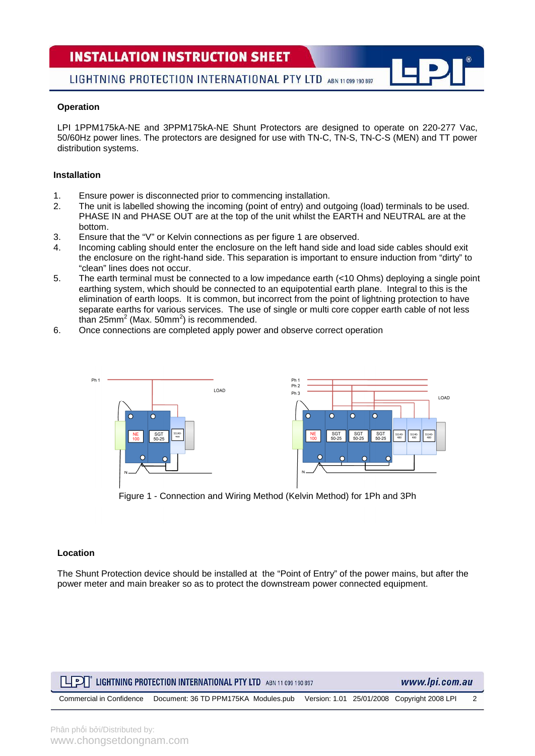### **INSTALLATION INSTRUCTION SHEET**

LIGHTNING PROTECTION INTERNATIONAL PTY LTD ABN 11 099 190 897

#### **Operation**

LPI 1PPM175kA-NE and 3PPM175kA-NE Shunt Protectors are designed to operate on 220-277 Vac, 50/60Hz power lines. The protectors are designed for use with TN-C, TN-S, TN-C-S (MEN) and TT power distribution systems.

#### **Installation**

- 1. Ensure power is disconnected prior to commencing installation.
- 2. The unit is labelled showing the incoming (point of entry) and outgoing (load) terminals to be used. PHASE IN and PHASE OUT are at the top of the unit whilst the EARTH and NEUTRAL are at the bottom.
- 3. Ensure that the "V" or Kelvin connections as per figure 1 are observed.
- 4. Incoming cabling should enter the enclosure on the left hand side and load side cables should exit the enclosure on the right-hand side. This separation is important to ensure induction from "dirty" to "clean" lines does not occur.
- 5. The earth terminal must be connected to a low impedance earth (<10 Ohms) deploying a single point earthing system, which should be connected to an equipotential earth plane. Integral to this is the elimination of earth loops. It is common, but incorrect from the point of lightning protection to have separate earths for various services. The use of single or multi core copper earth cable of not less than 25mm<sup>2</sup> (Max. 50mm<sup>2</sup>) is recommended.
- 6. Once connections are completed apply power and observe correct operation



Figure 1 - Connection and Wiring Method (Kelvin Method) for 1Ph and 3Ph

#### **Location**

The Shunt Protection device should be installed at the "Point of Entry" of the power mains, but after the power meter and main breaker so as to protect the downstream power connected equipment.

| <b>LET LIGHTNING PROTECTION INTERNATIONAL PTY LTD</b> ABN 11 099 190 897 | www.lpi.com.au                                                                                              |  |  |  |  |
|--------------------------------------------------------------------------|-------------------------------------------------------------------------------------------------------------|--|--|--|--|
|                                                                          | Commercial in Confidence Document: 36 TD PPM175KA Modules.pub Version: 1.01 25/01/2008 Copyright 2008 LPI 2 |  |  |  |  |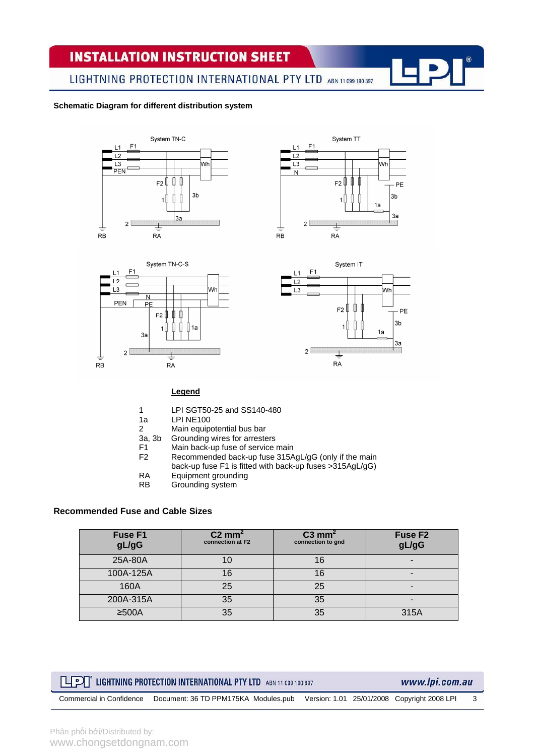# **INSTALLATION INSTRUCTION SHEET**

LIGHTNING PROTECTION INTERNATIONAL PTY LTD ABN 11 099 190 897

#### **Schematic Diagram for different distribution system**









#### **Legend**

- 1 LPI SGT50-25 and SS140-480
	-
- 1a LPI NE100<br>2 Main equip Main equipotential bus bar
- 3a, 3b Grounding wires for arresters<br>F1 Main back-up fuse of service
- F1 Main back-up fuse of service main<br>F2 Recommended back-up fuse 315A
- Recommended back-up fuse 315AgL/gG (only if the main back-up fuse F1 is fitted with back-up fuses >315AgL/gG)
	-
- RA Equipment grounding<br>RB Grounding system
- Grounding system

#### **Recommended Fuse and Cable Sizes**

| Fuse F1<br>gL/gG | $C2$ mm <sup>2</sup><br>connection at F2 | $C3$ mm <sup>2</sup><br>connection to gnd | Fuse F <sub>2</sub><br>gL/gG |
|------------------|------------------------------------------|-------------------------------------------|------------------------------|
| 25A-80A          |                                          | 16                                        | -                            |
| 100A-125A        | 16                                       | 16                                        | -                            |
| 160A             | 25                                       | 25                                        |                              |
| 200A-315A        | 35                                       | 35                                        | -                            |
| $≥500A$          | 35                                       | 35                                        | 315A                         |

### **LIFE LIGHTNING PROTECTION INTERNATIONAL PTY LTD** ABN 11 099 190 897

www.lpi.com.au

Commercial in Confidence Document: 36 TD PPM175KA Modules.pub Version: 1.01 25/01/2008 Copyright 2008 LPI 3